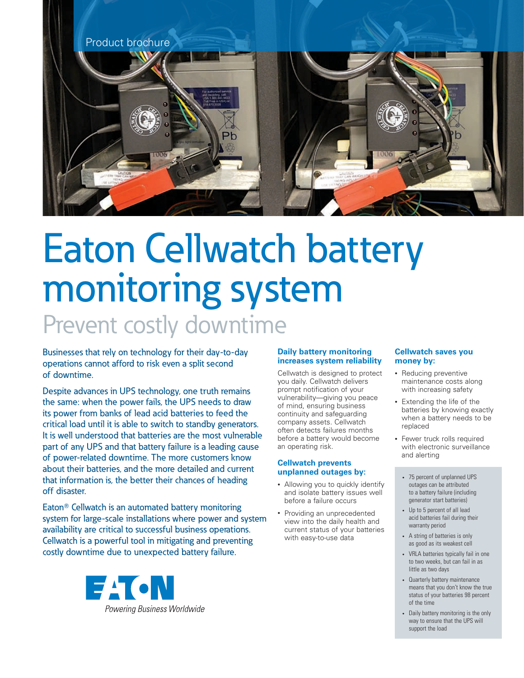

# Eaton Cellwatch battery monitoring system Prevent costly downtime

Businesses that rely on technology for their day-to-day operations cannot afford to risk even a split second of downtime.

Despite advances in UPS technology, one truth remains the same: when the power fails, the UPS needs to draw its power from banks of lead acid batteries to feed the critical load until it is able to switch to standby generators. It is well understood that batteries are the most vulnerable part of any UPS and that battery failure is a leading cause of power-related downtime. The more customers know about their batteries, and the more detailed and current that information is, the better their chances of heading off disaster.

Eaton<sup>®</sup> Cellwatch is an automated battery monitoring system for large-scale installations where power and system availability are critical to successful business operations. Cellwatch is a powerful tool in mitigating and preventing costly downtime due to unexpected battery failure.



### **Daily battery monitoring increases system reliability**

Cellwatch is designed to protect you daily. Cellwatch delivers prompt notification of your vulnerability—giving you peace of mind, ensuring business continuity and safeguarding company assets. Cellwatch often detects failures months before a battery would become an operating risk.

# **Cellwatch prevents unplanned outages by:**

- Allowing you to quickly identify and isolate battery issues well before a failure occurs
- Providing an unprecedented view into the daily health and current status of your batteries with easy-to-use data

# **Cellwatch saves you money by:**

- Reducing preventive maintenance costs along with increasing safety
- Extending the life of the batteries by knowing exactly when a battery needs to be replaced
- Fewer truck rolls required with electronic surveillance and alerting
	- 75 percent of unplanned UPS outages can be attributed to a battery failure (including generator start batteries)
	- Up to 5 percent of all lead acid batteries fail during their warranty period
	- A string of batteries is only as good as its weakest cell
	- VRLA batteries typically fail in one to two weeks, but can fail in as little as two days
	- Quarterly battery maintenance means that you don't know the true status of your batteries 98 percent of the time
	- Daily battery monitoring is the only way to ensure that the UPS will support the load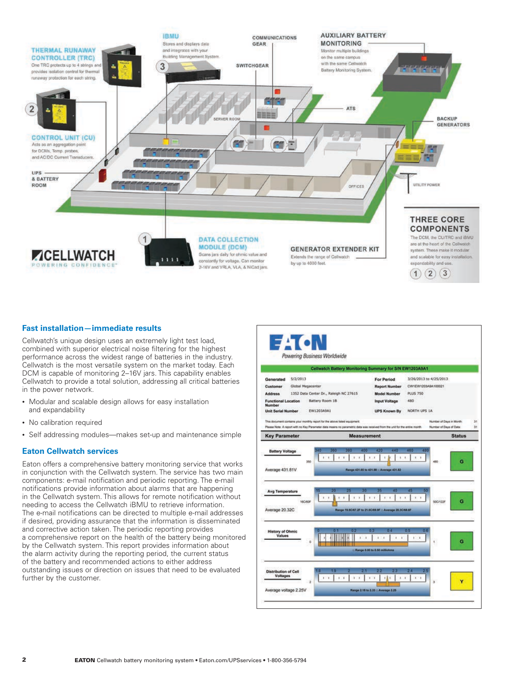

### **Fast installation—immediate results**

Cellwatch's unique design uses an extremely light test load, combined with superior electrical noise filtering for the highest performance across the widest range of batteries in the industry. Cellwatch is the most versatile system on the market today. Each DCM is capable of monitoring 2–16V jars. This capability enables Cellwatch to provide a total solution, addressing all critical batteries in the power network.

- Modular and scalable design allows for easy installation and expandability
- No calibration required
- Self addressing modules—makes set-up and maintenance simple

#### **Eaton Cellwatch services**

Eaton offers a comprehensive battery monitoring service that works in conjunction with the Cellwatch system. The service has two main components: e-mail notification and periodic reporting. The e-mail notifications provide information about alarms that are happening in the Cellwatch system. This allows for remote notification without needing to access the Cellwatch iBMU to retrieve information. The e-mail notifications can be directed to multiple e-mail addresses if desired, providing assurance that the information is disseminated and corrective action taken. The periodic reporting provides a comprehensive report on the health of the battery being monitored by the Cellwatch system. This report provides information about the alarm activity during the reporting period, the current status of the battery and recommended actions to either address outstanding issues or direction on issues that need to be evaluated further by the customer.

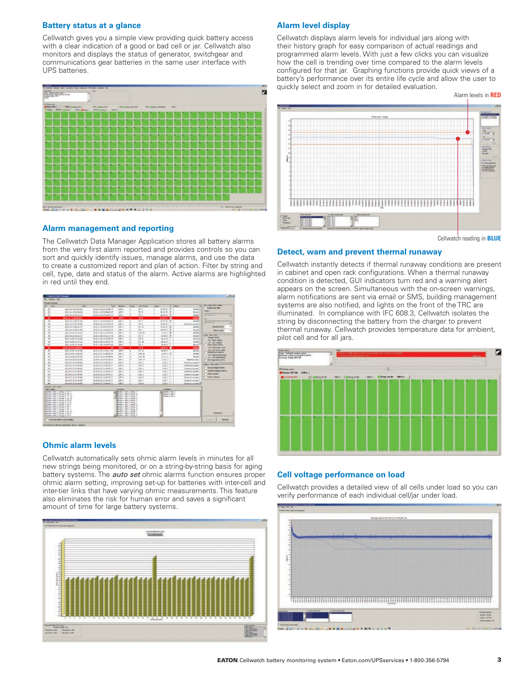#### **Battery status at a glance**

Cellwatch gives you a simple view providing quick battery access with a clear indication of a good or bad cell or jar. Cellwatch also monitors and displays the status of generator, switchgear and communications gear batteries in the same user interface with UPS batteries.



#### **Alarm management and reporting**

The Cellwatch Data Manager Application stores all battery alarms from the very first alarm reported and provides controls so you can sort and quickly identify issues, manage alarms, and use the data to create a customized report and plan of action. Filter by string and cell, type, date and status of the alarm. Active alarms are highlighted in red until they end.

| Collection Colto Phoneses                                           |                                       |                                |                                                           |                          |                     |                                   |                               |                        | 5.53.8                                        |
|---------------------------------------------------------------------|---------------------------------------|--------------------------------|-----------------------------------------------------------|--------------------------|---------------------|-----------------------------------|-------------------------------|------------------------|-----------------------------------------------|
| No. Sulton Avis                                                     |                                       |                                |                                                           |                          |                     |                                   |                               |                        |                                               |
| <b>College to Alaska</b>                                            |                                       |                                |                                                           |                          |                     |                                   |                               |                        | <b>Clinical and the University</b>            |
| u<br>that                                                           | <b>But</b>                            | Power                          | <b>Buttery</b>                                            | <b>STANK</b>             | <b>Pub Africane</b> | <b>TANK</b>                       | <b>Bullet</b><br>٠            | ۰                      | Titled by Jane Har-                           |
| ×                                                                   | <b><i>BUILDING</i></b>                | <b>BUSINESS RAINERS</b>        | urs 2                                                     |                          | 46.1                | there's by                        |                               | <b>Includ</b>          | <b>Status</b>                                 |
| $\mathbf{z}$                                                        | T07-11-153-4044                       | <b>BED-HARRISON</b>            | JE3                                                       |                          | 20.8                | mare: SA                          |                               | <b>Hornad</b>          |                                               |
| $\overline{\phantom{a}}$                                            | 30201204034                           | 49-14039-1-120-2               | <b>UPS 2</b>                                              | ×                        | THE.                | 温泉ない                              |                               | DANA                   | Ξ<br><b>I</b> Hotel                           |
| ×                                                                   | <b>WELF-TE-LINENMAN</b>               |                                | <b>SIPS 3</b>                                             | ×                        | <b>TELE</b>         | anawic B                          |                               | motor                  | w                                             |
| A                                                                   | <b>BUILDING</b>                       | <b>BUD UNITED RESERVES</b>     | Lan u                                                     | т                        | Telectric           | winted by                         |                               | <b>SHARA</b>           | ۰<br>в<br><b>School of</b>                    |
| $\overline{30}$<br>즓                                                | MAIL 49-1242-46-AL                    | protectives in the fire and we | LIFE 1                                                    |                          | 26.3                | 36.08 <                           |                               | Close it his trustees. | $\overline{\phantom{a}}$                      |
|                                                                     | 3012-33-13 88-51-37                   | <b>BUSINESS EDIRETAL HE</b>    | <b>L#1 3</b>                                              |                          | 391.14              | 当初文に発                             |                               | <b>Debat</b>           | <b>ANTISCOPY</b>                              |
| w                                                                   | Ministraction will as                 | 810-2141 10:48:5214            | 48.5                                                      |                          | W.L.                | <b>MARY</b>                       | ٠                             | <b>Sisted</b>          | 157<br>Alams Lake                             |
| ×                                                                   | Most 44 at Animati                    | <b>B-27-11-40 11112-2114</b>   | an a                                                      |                          | <b>Cat AL</b>       | <b>CARL IN</b>                    |                               | <b>General</b>         | r fram i shus ani.                            |
| ×                                                                   | 2020/01/23                            | Michael Head and Che           | Let's                                                     |                          | C1.4                | $+586.4$                          |                               | Grand                  | <b>GROOF KANK</b>                             |
| $\overline{\mathbf{x}}$                                             | 2012/11/22 12:22:23                   | 第四の実式数位式                       | Lan s                                                     |                          | CT.8                | 48.10.8                           |                               | Build                  | <b>No. Nok Hallison</b>                       |
| ×                                                                   | <b>ROOKSIDE</b>                       | <b>EDGRESSIVE</b>              | UH1 3                                                     |                          | $(2)$ . 30          | $-26.05. k$                       |                               | Drowl                  | EX-STATISTICS.                                |
| w                                                                   | Minds as Mr off die Mi                | Michael McAdoor Fred           | Law in                                                    |                          | 191.4               | 444                               |                               | <b>Brist</b>           | <b>Those tuke kema</b>                        |
| $\overline{\phantom{a}}$                                            | <b>INVESTIGATION</b>                  | $\overline{\phantom{a}}$       | <b>SIPS at</b>                                            | ×                        | 10.8                | <b>IRAGA M</b>                    |                               | <b>COM</b>             | <b>AT-Mukaled olar</b><br>12-year-after years |
| $\overline{\phantom{a}}$                                            | 30-210-31 11:24:36                    | THE CATALOG LINE               | 1,892.01                                                  | $\overline{\phantom{a}}$ | CT: UI              | MAR ALL                           |                               | <b>Pintick</b>         | <b>Securities Gallery</b>                     |
| $\sim$                                                              | <b>JESU CHRISTINE</b>                 | ALCOHOL: NO                    | <b>JPL2</b>                                               |                          | Call: 34            | <b>Hillman</b> Car                |                               | bidad                  | art - raph temperature                        |
| $\overline{a}$                                                      | <b><i>ROND ZEEDLER</i></b>            | design in in the work.         | 41.1                                                      |                          | <b>Carl Will</b>    | <b>Shift</b> III                  |                               | <b>Barbard</b>         | ET-Lide Import stunt                          |
| $\overline{\phantom{a}}$                                            | anches aver aces.                     | an under alla kendas Benda     | Lans of                                                   |                          | ink as              | in my                             |                               | <b>Almost Norway</b>   | <b>Charlespower #45</b>                       |
| $\overline{u}$                                                      | <b>JECACI VI UL-MUN</b>               | 2010/03/23 12:36:473.4         | LIPS 2                                                    |                          | Cab. 1              | <b>EMI</b>                        |                               | Grant for pumps        | Polance, show and/                            |
| $\overline{w}$                                                      | <b>ROUGH OF THE REAL</b>              | <b>BUNGAS UK BI-47LI</b>       | L#t 1                                                     |                          | $C = 1$             | 2.301                             |                               | Client for Automo      | <b><i><u>Installation!</u></i></b> Kares      |
| $\overline{\mathcal{M}}$                                            | period turn on an on-                 | 81943-01064701                 | ide in                                                    |                          | Call 1              | 3.301                             |                               | Classifications        | <b>Charling Active Many</b>                   |
| $\overline{a}$                                                      | <b>MADE LOCATED</b>                   | <b><i>BURGHALLEYS</i></b>      | Laro 2                                                    |                          | $-186.4$            | 2.81                              |                               | Circuit for system     |                                               |
| w                                                                   | Ministrational statements             | <b>Bridgeway</b> (Ch. Mr. Ch.) | <b>JAC2</b>                                               |                          | ca i                | 2.361                             |                               | Concrete system        | <b>John Aires</b>                             |
| A6                                                                  | <b>BOD-00-68</b>                      | 2010/02/20 03:30:47:47         | 1,812                                                     |                          | CHL II              | 2.381                             |                               | Court by turing        | <b>Tractive Harry</b>                         |
| 45                                                                  | <b>JENNING</b> 10-46 BY               | 20043-221206-4714              | LMS 2                                                     |                          | CAL                 | <b>EXER</b>                       |                               | Closed-by-suchers      |                                               |
| s                                                                   | <b>MARK 4 00 W.W.</b>                 | <b>MONTHSTANTIN</b>            | Link 2                                                    |                          | Fab 4               | <b>AMER</b>                       | <b>Card</b>                   | Continuedas 2          |                                               |
| Thomas - they lead                                                  |                                       |                                |                                                           |                          |                     |                                   |                               |                        |                                               |
| DATTUCKH!<br>callery (PL), long 1.07.4                              |                                       |                                | Burden, LPI J. 1994.                                      |                          |                     | <b>RIMMY</b><br><b>Indern art</b> |                               |                        |                                               |
| Ralley of APR 3, Group K. CT-4                                      |                                       |                                | Rulero LFC 1. CHArd                                       |                          |                     | <b>Rallery/JRT</b> 1              |                               |                        |                                               |
|                                                                     | Names (195.2) Strong G. CO. 63        |                                | Renew UNL Street                                          |                          |                     | Distance (AS)                     |                               |                        |                                               |
| Mutsa'yı'dırt 3, String-4, (T) B                                    | Startesho stirts is stered in (19) as |                                | Berken: Lat. L. Gillegi, D<br>Murderio LAN, 5, Newcy, 2   |                          |                     |                                   |                               |                        |                                               |
| Deltery: 1971 5. String: C. CT-R                                    |                                       |                                | Bettery, LBS 5, Street, 5                                 |                          |                     |                                   |                               |                        |                                               |
| Deferro (PT.), Shop 1, 914                                          |                                       |                                | ENTRYH LPS 3, DEEN 4<br><b>Rallater CRE L. Elrico, S.</b> |                          |                     |                                   |                               |                        |                                               |
| Marlee vi 1890 S. Gringe K. Th. L.<br>Return 1991 3, Group 3, St. 6 |                                       |                                | Barney LPL L Gregorie                                     |                          |                     |                                   |                               |                        |                                               |
| Germany Why L. German J. Nr. Let                                    |                                       |                                | Bartero Lets L Geogr 2                                    |                          |                     |                                   |                               |                        |                                               |
| MuttervicePH 9, Strings 1, 991 9<br>Deltery (95 5 String & W-5)     |                                       |                                | Button: UH 1, 6110) 3<br>al Barbon UPS 1 (894) 5          |                          |                     |                                   |                               |                        | <b>Distances</b>                              |
|                                                                     |                                       |                                |                                                           |                          |                     |                                   |                               |                        |                                               |
| Advanced sales I really wretched                                    |                                       |                                |                                                           |                          |                     |                                   | <b>CHAIR</b><br><b>Julied</b> |                        |                                               |

#### **Ohmic alarm levels**

Cellwatch automatically sets ohmic alarm levels in minutes for all new strings being monitored, or on a string-by-string basis for aging battery systems. The *auto set* ohmic alarms function ensures proper ohmic alarm setting, improving set-up for batteries with inter-cell and inter-tier links that have varying ohmic measurements. This feature also eliminates the risk for human error and saves a significant amount of time for large battery systems.



#### **Alarm level display**

Cellwatch displays alarm levels for individual jars along with their history graph for easy comparison of actual readings and programmed alarm levels. With just a few clicks you can visualize how the cell is trending over time compared to the alarm levels configured for that jar. Graphing functions provide quick views of a battery's performance over its entire life cycle and allow the user to quickly select and zoom in for detailed evaluation.



Cellwatch reading in **BLUE**

#### **Detect, warn and prevent thermal runaway**

Cellwatch instantly detects if thermal runaway conditions are present in cabinet and open rack configurations. When a thermal runaway condition is detected, GUI indicators turn red and a warning alert appears on the screen. Simultaneous with the on-screen warnings, alarm notifications are sent via email or SMS, building management systems are also notified, and lights on the front of the TRC are illuminated. In compliance with IFC 608.3, Cellwatch isolates the string by disconnecting the battery from the charger to prevent thermal runaway. Cellwatch provides temperature data for ambient, pilot cell and for all jars.



#### **Cell voltage performance on load**

Cellwatch provides a detailed view of all cells under load so you can verify performance of each individual cell/jar under load.